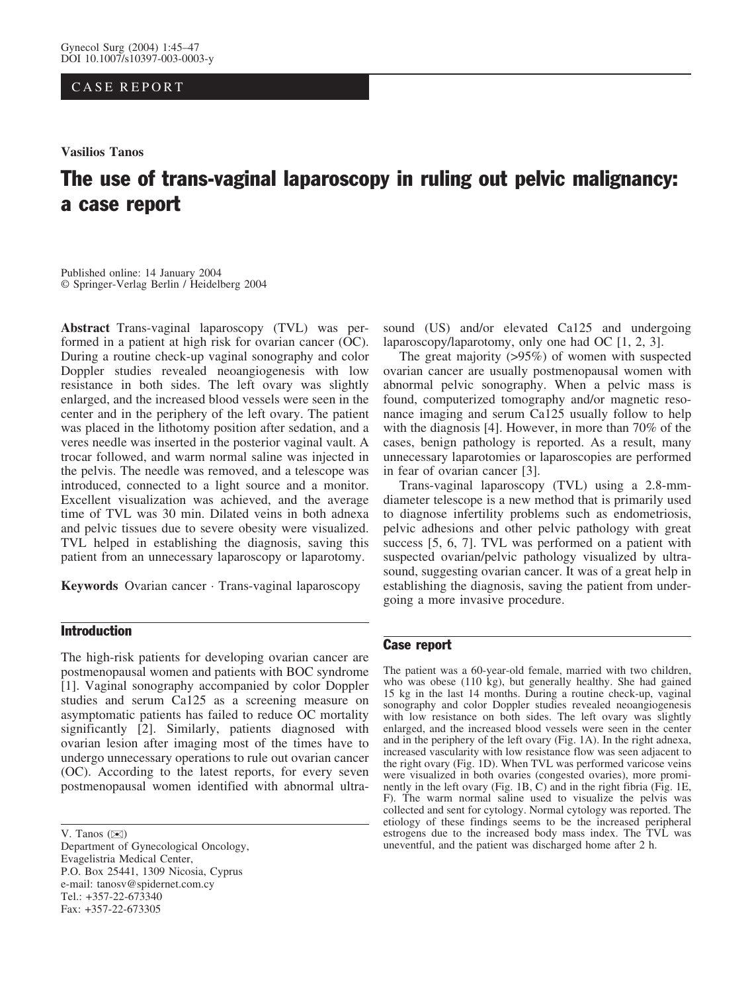## CASE REPORT

Vasilios Tanos

# The use of trans-vaginal laparoscopy in ruling out pelvic malignancy: a case report

Published online: 14 January 2004 Springer-Verlag Berlin / Heidelberg 2004

Abstract Trans-vaginal laparoscopy (TVL) was performed in a patient at high risk for ovarian cancer (OC). During a routine check-up vaginal sonography and color Doppler studies revealed neoangiogenesis with low resistance in both sides. The left ovary was slightly enlarged, and the increased blood vessels were seen in the center and in the periphery of the left ovary. The patient was placed in the lithotomy position after sedation, and a veres needle was inserted in the posterior vaginal vault. A trocar followed, and warm normal saline was injected in the pelvis. The needle was removed, and a telescope was introduced, connected to a light source and a monitor. Excellent visualization was achieved, and the average time of TVL was 30 min. Dilated veins in both adnexa and pelvic tissues due to severe obesity were visualized. TVL helped in establishing the diagnosis, saving this patient from an unnecessary laparoscopy or laparotomy.

Keywords Ovarian cancer · Trans-vaginal laparoscopy

### Introduction

The high-risk patients for developing ovarian cancer are postmenopausal women and patients with BOC syndrome [1]. Vaginal sonography accompanied by color Doppler studies and serum Ca125 as a screening measure on asymptomatic patients has failed to reduce OC mortality significantly [2]. Similarly, patients diagnosed with ovarian lesion after imaging most of the times have to undergo unnecessary operations to rule out ovarian cancer (OC). According to the latest reports, for every seven postmenopausal women identified with abnormal ultra-

V. Tanos  $(\mathbb{X})$ 

Department of Gynecological Oncology, Evagelistria Medical Center, P.O. Box 25441, 1309 Nicosia, Cyprus e-mail: tanosv@spidernet.com.cy Tel.: +357-22-673340 Fax: +357-22-673305

sound (US) and/or elevated Ca125 and undergoing laparoscopy/laparotomy, only one had OC [1, 2, 3].

The great majority (>95%) of women with suspected ovarian cancer are usually postmenopausal women with abnormal pelvic sonography. When a pelvic mass is found, computerized tomography and/or magnetic resonance imaging and serum Ca125 usually follow to help with the diagnosis [4]. However, in more than 70% of the cases, benign pathology is reported. As a result, many unnecessary laparotomies or laparoscopies are performed in fear of ovarian cancer [3].

Trans-vaginal laparoscopy (TVL) using a 2.8-mmdiameter telescope is a new method that is primarily used to diagnose infertility problems such as endometriosis, pelvic adhesions and other pelvic pathology with great success [5, 6, 7]. TVL was performed on a patient with suspected ovarian/pelvic pathology visualized by ultrasound, suggesting ovarian cancer. It was of a great help in establishing the diagnosis, saving the patient from undergoing a more invasive procedure.

#### Case report

The patient was a 60-year-old female, married with two children, who was obese (110 kg), but generally healthy. She had gained 15 kg in the last 14 months. During a routine check-up, vaginal sonography and color Doppler studies revealed neoangiogenesis with low resistance on both sides. The left ovary was slightly enlarged, and the increased blood vessels were seen in the center and in the periphery of the left ovary (Fig. 1A). In the right adnexa, increased vascularity with low resistance flow was seen adjacent to the right ovary (Fig. 1D). When TVL was performed varicose veins were visualized in both ovaries (congested ovaries), more prominently in the left ovary (Fig. 1B, C) and in the right fibria (Fig. 1E, F). The warm normal saline used to visualize the pelvis was collected and sent for cytology. Normal cytology was reported. The etiology of these findings seems to be the increased peripheral estrogens due to the increased body mass index. The TVL was uneventful, and the patient was discharged home after 2 h.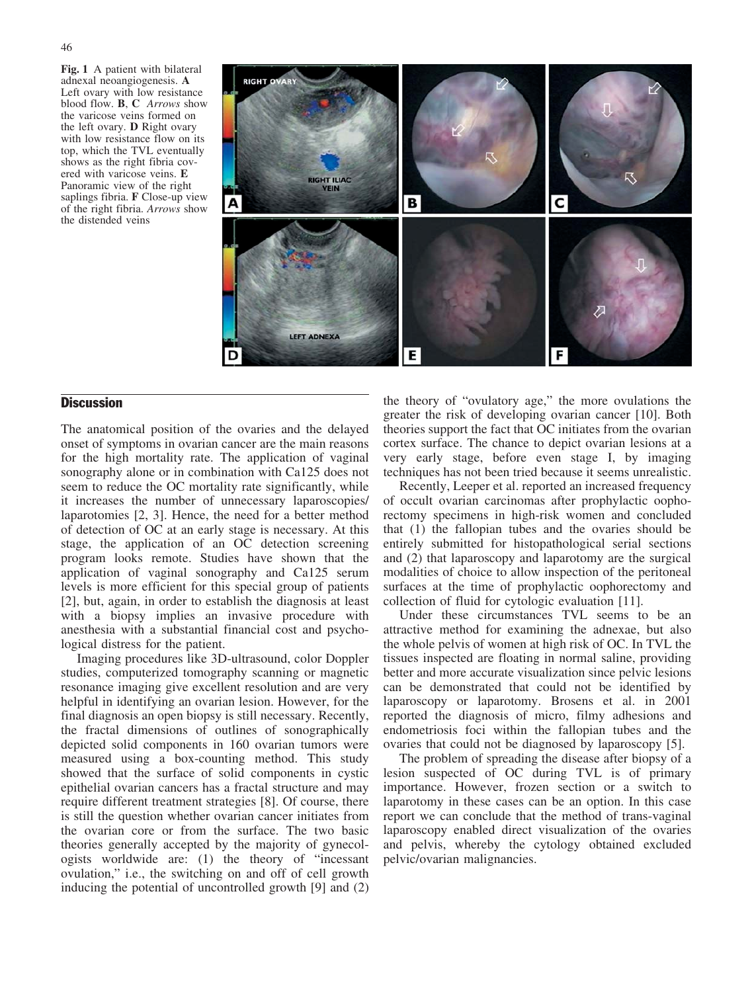Fig. 1 A patient with bilateral adnexal neoangiogenesis. A Left ovary with low resistance blood flow. B, C Arrows show the varicose veins formed on the left ovary. D Right ovary with low resistance flow on its top, which the TVL eventually shows as the right fibria covered with varicose veins. E Panoramic view of the right saplings fibria. F Close-up view of the right fibria. Arrows show the distended veins



## **Discussion**

The anatomical position of the ovaries and the delayed onset of symptoms in ovarian cancer are the main reasons for the high mortality rate. The application of vaginal sonography alone or in combination with Ca125 does not seem to reduce the OC mortality rate significantly, while it increases the number of unnecessary laparoscopies/ laparotomies [2, 3]. Hence, the need for a better method of detection of OC at an early stage is necessary. At this stage, the application of an OC detection screening program looks remote. Studies have shown that the application of vaginal sonography and Ca125 serum levels is more efficient for this special group of patients [2], but, again, in order to establish the diagnosis at least with a biopsy implies an invasive procedure with anesthesia with a substantial financial cost and psychological distress for the patient.

Imaging procedures like 3D-ultrasound, color Doppler studies, computerized tomography scanning or magnetic resonance imaging give excellent resolution and are very helpful in identifying an ovarian lesion. However, for the final diagnosis an open biopsy is still necessary. Recently, the fractal dimensions of outlines of sonographically depicted solid components in 160 ovarian tumors were measured using a box-counting method. This study showed that the surface of solid components in cystic epithelial ovarian cancers has a fractal structure and may require different treatment strategies [8]. Of course, there is still the question whether ovarian cancer initiates from the ovarian core or from the surface. The two basic theories generally accepted by the majority of gynecologists worldwide are: (1) the theory of "incessant ovulation," i.e., the switching on and off of cell growth inducing the potential of uncontrolled growth [9] and (2)

the theory of "ovulatory age," the more ovulations the greater the risk of developing ovarian cancer [10]. Both theories support the fact that OC initiates from the ovarian cortex surface. The chance to depict ovarian lesions at a very early stage, before even stage I, by imaging techniques has not been tried because it seems unrealistic.

Recently, Leeper et al. reported an increased frequency of occult ovarian carcinomas after prophylactic oophorectomy specimens in high-risk women and concluded that (1) the fallopian tubes and the ovaries should be entirely submitted for histopathological serial sections and (2) that laparoscopy and laparotomy are the surgical modalities of choice to allow inspection of the peritoneal surfaces at the time of prophylactic oophorectomy and collection of fluid for cytologic evaluation [11].

Under these circumstances TVL seems to be an attractive method for examining the adnexae, but also the whole pelvis of women at high risk of OC. In TVL the tissues inspected are floating in normal saline, providing better and more accurate visualization since pelvic lesions can be demonstrated that could not be identified by laparoscopy or laparotomy. Brosens et al. in 2001 reported the diagnosis of micro, filmy adhesions and endometriosis foci within the fallopian tubes and the ovaries that could not be diagnosed by laparoscopy [5].

The problem of spreading the disease after biopsy of a lesion suspected of OC during TVL is of primary importance. However, frozen section or a switch to laparotomy in these cases can be an option. In this case report we can conclude that the method of trans-vaginal laparoscopy enabled direct visualization of the ovaries and pelvis, whereby the cytology obtained excluded pelvic/ovarian malignancies.